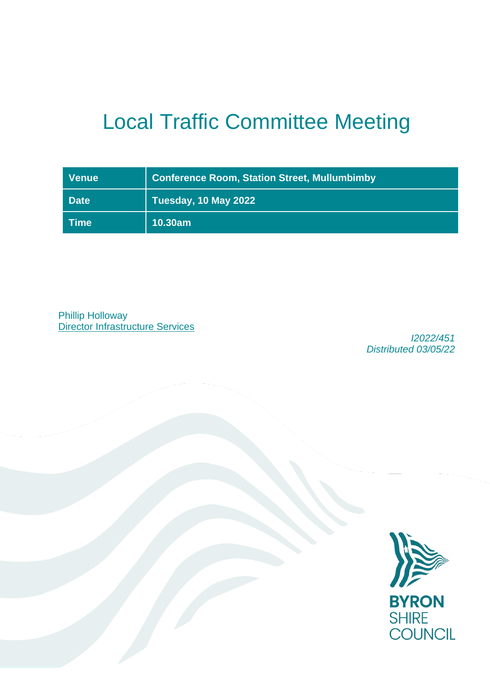# Local Traffic Committee Meeting

| <b>Venue</b>                      | <b>Conference Room, Station Street, Mullumbimby</b> |  |
|-----------------------------------|-----------------------------------------------------|--|
| <b>Date</b>                       | Tuesday, 10 May 2022                                |  |
| $\mathsf{I}\mathsf{Time}^\dagger$ | 10.30am                                             |  |

Phillip Holloway **Director Infrastructure Services** 

*I2022/451 Distributed 03/05/22*

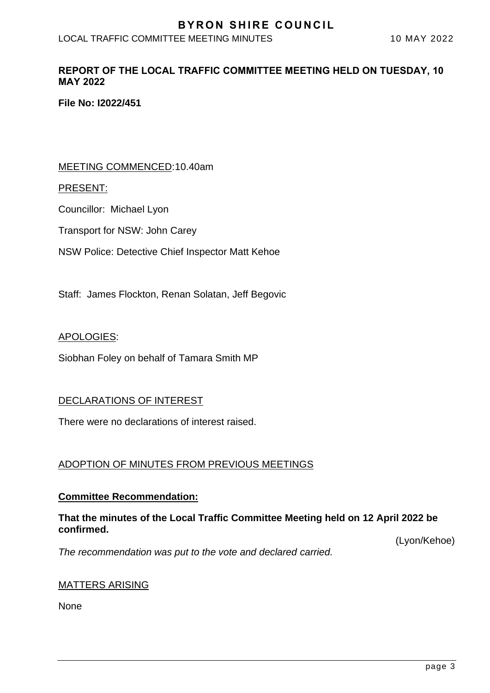# **BYRON SHIRE COUNCIL**

LOCAL TRAFFIC COMMITTEE MEETING MINUTES 10 MAY 2022

## **REPORT OF THE LOCAL TRAFFIC COMMITTEE MEETING HELD ON TUESDAY, 10 MAY 2022**

**File No: I2022/451**

## MEETING COMMENCED:10.40am

#### PRESENT:

Councillor: Michael Lyon

Transport for NSW: John Carey

NSW Police: Detective Chief Inspector Matt Kehoe

Staff: James Flockton, Renan Solatan, Jeff Begovic

#### APOLOGIES:

Siobhan Foley on behalf of Tamara Smith MP

## DECLARATIONS OF INTEREST

There were no declarations of interest raised.

## ADOPTION OF MINUTES FROM PREVIOUS MEETINGS

#### **Committee Recommendation:**

## **That the minutes of the Local Traffic Committee Meeting held on 12 April 2022 be confirmed.**

(Lyon/Kehoe)

*The recommendation was put to the vote and declared carried.*

## MATTERS ARISING

None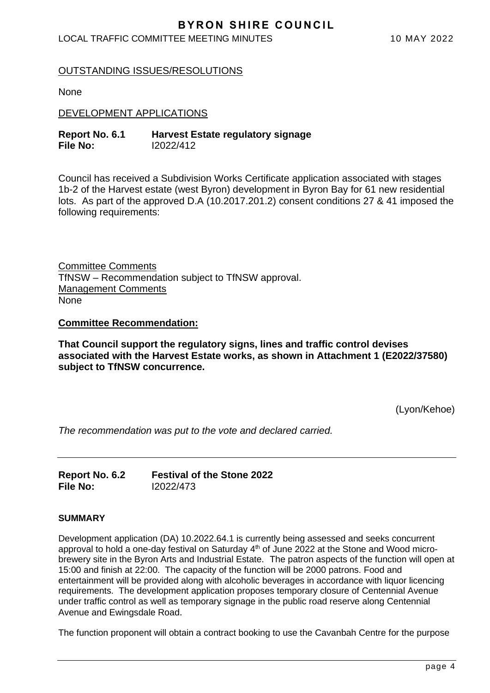# **BYRON SHIRE COUNCIL**

## LOCAL TRAFFIC COMMITTEE MEETING MINUTES 10 MAY 2022

## OUTSTANDING ISSUES/RESOLUTIONS

None

DEVELOPMENT APPLICATIONS

| Report No. 6.1 | <b>Harvest Estate regulatory signage</b> |
|----------------|------------------------------------------|
| File No:       | 12022/412                                |

Council has received a Subdivision Works Certificate application associated with stages 1b-2 of the Harvest estate (west Byron) development in Byron Bay for 61 new residential lots. As part of the approved D.A (10.2017.201.2) consent conditions 27 & 41 imposed the following requirements:

Committee Comments TfNSW – Recommendation subject to TfNSW approval. Management Comments None

**Committee Recommendation:** 

**That Council support the regulatory signs, lines and traffic control devises associated with the Harvest Estate works, as shown in Attachment 1 (E2022/37580) subject to TfNSW concurrence.**

(Lyon/Kehoe)

*The recommendation was put to the vote and declared carried.*

| Report No. 6.2  | <b>Festival of the Stone 2022</b> |
|-----------------|-----------------------------------|
| <b>File No:</b> | 12022/473                         |

#### **SUMMARY**

Development application (DA) 10.2022.64.1 is currently being assessed and seeks concurrent approval to hold a one-day festival on Saturday 4<sup>th</sup> of June 2022 at the Stone and Wood microbrewery site in the Byron Arts and Industrial Estate. The patron aspects of the function will open at 15:00 and finish at 22:00. The capacity of the function will be 2000 patrons. Food and entertainment will be provided along with alcoholic beverages in accordance with liquor licencing requirements. The development application proposes temporary closure of Centennial Avenue under traffic control as well as temporary signage in the public road reserve along Centennial Avenue and Ewingsdale Road.

The function proponent will obtain a contract booking to use the Cavanbah Centre for the purpose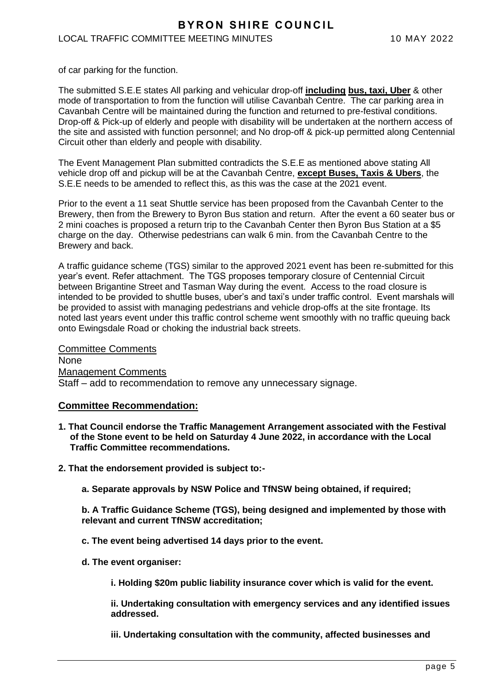#### LOCAL TRAFFIC COMMITTEE MEETING MINUTES 10 MAY 2022

of car parking for the function.

The submitted S.E.E states All parking and vehicular drop-off **including bus, taxi, Uber** & other mode of transportation to from the function will utilise Cavanbah Centre. The car parking area in Cavanbah Centre will be maintained during the function and returned to pre-festival conditions. Drop-off & Pick-up of elderly and people with disability will be undertaken at the northern access of the site and assisted with function personnel; and No drop-off & pick-up permitted along Centennial Circuit other than elderly and people with disability.

The Event Management Plan submitted contradicts the S.E.E as mentioned above stating All vehicle drop off and pickup will be at the Cavanbah Centre, **except Buses, Taxis & Ubers**, the S.E.E needs to be amended to reflect this, as this was the case at the 2021 event.

Prior to the event a 11 seat Shuttle service has been proposed from the Cavanbah Center to the Brewery, then from the Brewery to Byron Bus station and return. After the event a 60 seater bus or 2 mini coaches is proposed a return trip to the Cavanbah Center then Byron Bus Station at a \$5 charge on the day. Otherwise pedestrians can walk 6 min. from the Cavanbah Centre to the Brewery and back.

A traffic guidance scheme (TGS) similar to the approved 2021 event has been re-submitted for this year's event. Refer attachment. The TGS proposes temporary closure of Centennial Circuit between Brigantine Street and Tasman Way during the event. Access to the road closure is intended to be provided to shuttle buses, uber's and taxi's under traffic control. Event marshals will be provided to assist with managing pedestrians and vehicle drop-offs at the site frontage. Its noted last years event under this traffic control scheme went smoothly with no traffic queuing back onto Ewingsdale Road or choking the industrial back streets.

Committee Comments None Management Comments Staff – add to recommendation to remove any unnecessary signage.

#### **Committee Recommendation:**

- **1. That Council endorse the Traffic Management Arrangement associated with the Festival of the Stone event to be held on Saturday 4 June 2022, in accordance with the Local Traffic Committee recommendations.**
- **2. That the endorsement provided is subject to:**
	- **a. Separate approvals by NSW Police and TfNSW being obtained, if required;**

**b. A Traffic Guidance Scheme (TGS), being designed and implemented by those with relevant and current TfNSW accreditation;**

- **c. The event being advertised 14 days prior to the event.**
- **d. The event organiser:**
	- **i. Holding \$20m public liability insurance cover which is valid for the event.**

**ii. Undertaking consultation with emergency services and any identified issues addressed.**

**iii. Undertaking consultation with the community, affected businesses and**